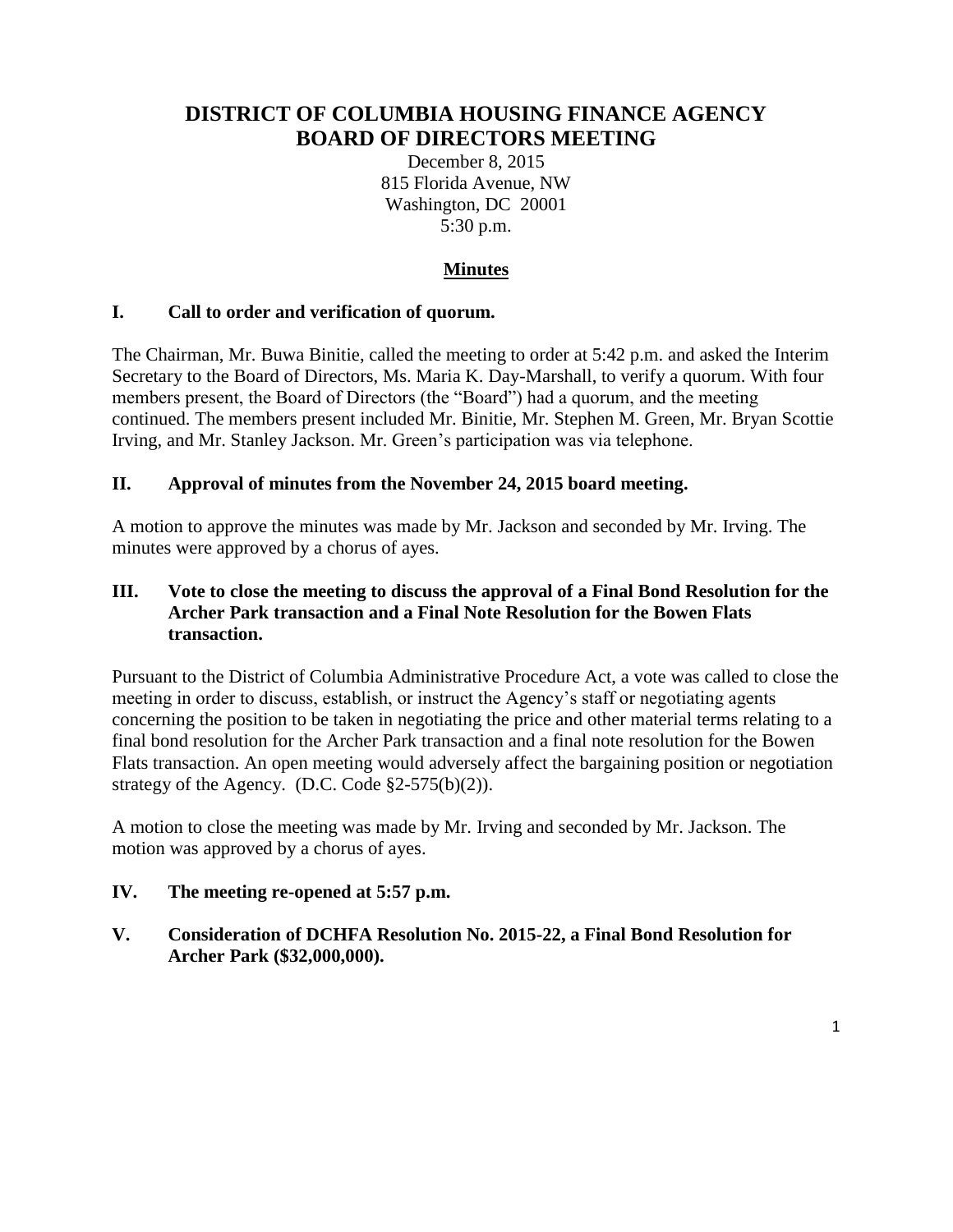# **DISTRICT OF COLUMBIA HOUSING FINANCE AGENCY BOARD OF DIRECTORS MEETING**

December 8, 2015 815 Florida Avenue, NW Washington, DC 20001 5:30 p.m.

## **Minutes**

### **I. Call to order and verification of quorum.**

The Chairman, Mr. Buwa Binitie, called the meeting to order at 5:42 p.m. and asked the Interim Secretary to the Board of Directors, Ms. Maria K. Day-Marshall, to verify a quorum. With four members present, the Board of Directors (the "Board") had a quorum, and the meeting continued. The members present included Mr. Binitie, Mr. Stephen M. Green, Mr. Bryan Scottie Irving, and Mr. Stanley Jackson. Mr. Green's participation was via telephone.

#### **II. Approval of minutes from the November 24, 2015 board meeting.**

A motion to approve the minutes was made by Mr. Jackson and seconded by Mr. Irving. The minutes were approved by a chorus of ayes.

#### **III. Vote to close the meeting to discuss the approval of a Final Bond Resolution for the Archer Park transaction and a Final Note Resolution for the Bowen Flats transaction.**

Pursuant to the District of Columbia Administrative Procedure Act, a vote was called to close the meeting in order to discuss, establish, or instruct the Agency's staff or negotiating agents concerning the position to be taken in negotiating the price and other material terms relating to a final bond resolution for the Archer Park transaction and a final note resolution for the Bowen Flats transaction. An open meeting would adversely affect the bargaining position or negotiation strategy of the Agency. (D.C. Code  $\S2-575(b)(2)$ ).

A motion to close the meeting was made by Mr. Irving and seconded by Mr. Jackson. The motion was approved by a chorus of ayes.

#### **IV. The meeting re-opened at 5:57 p.m.**

### **V. Consideration of DCHFA Resolution No. 2015-22, a Final Bond Resolution for Archer Park (\$32,000,000).**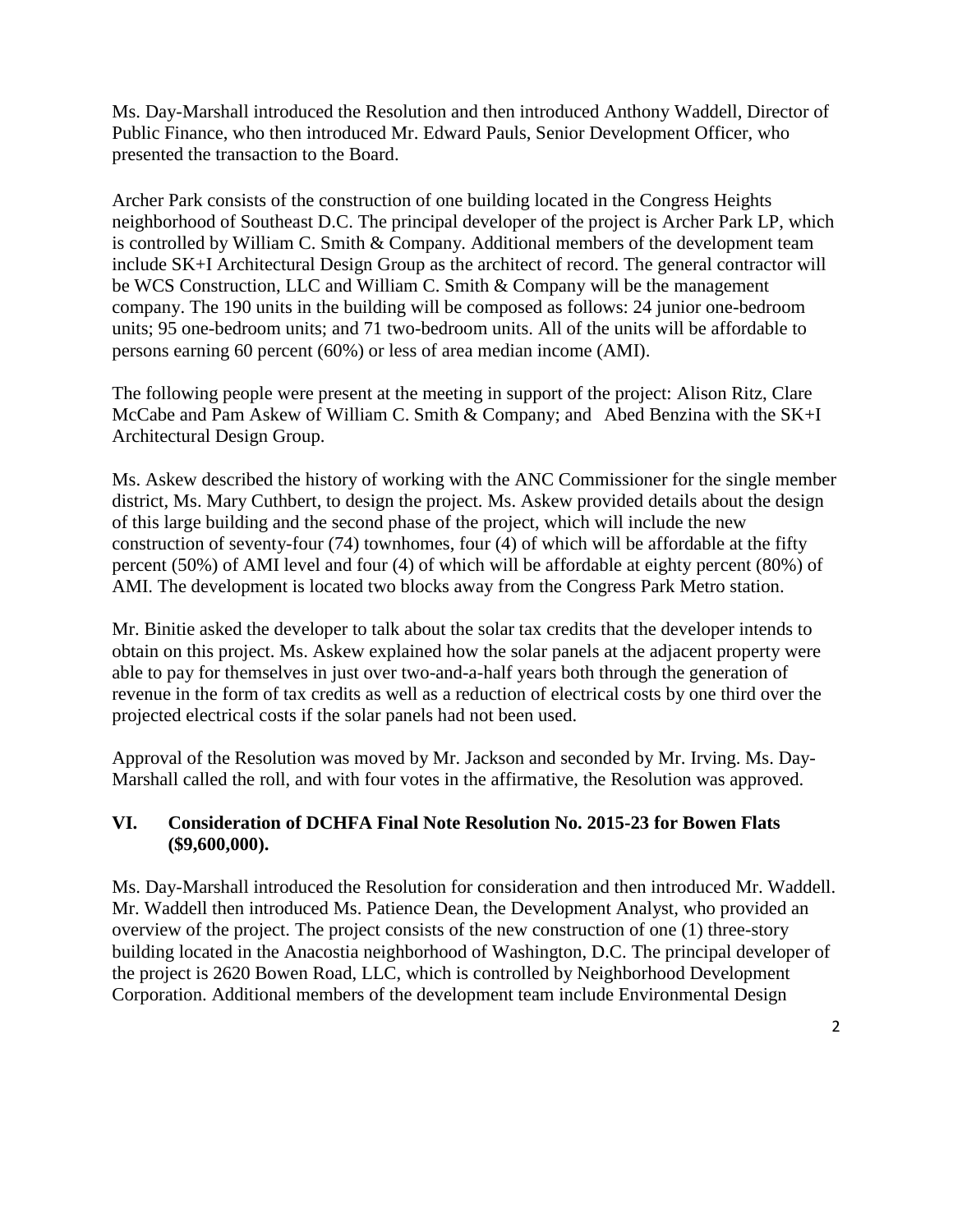Ms. Day-Marshall introduced the Resolution and then introduced Anthony Waddell, Director of Public Finance, who then introduced Mr. Edward Pauls, Senior Development Officer, who presented the transaction to the Board.

Archer Park consists of the construction of one building located in the Congress Heights neighborhood of Southeast D.C. The principal developer of the project is Archer Park LP, which is controlled by William C. Smith & Company. Additional members of the development team include SK+I Architectural Design Group as the architect of record. The general contractor will be WCS Construction, LLC and William C. Smith & Company will be the management company. The 190 units in the building will be composed as follows: 24 junior one-bedroom units; 95 one-bedroom units; and 71 two-bedroom units. All of the units will be affordable to persons earning 60 percent (60%) or less of area median income (AMI).

The following people were present at the meeting in support of the project: Alison Ritz, Clare McCabe and Pam Askew of William C. Smith & Company; and Abed Benzina with the SK+I Architectural Design Group.

Ms. Askew described the history of working with the ANC Commissioner for the single member district, Ms. Mary Cuthbert, to design the project. Ms. Askew provided details about the design of this large building and the second phase of the project, which will include the new construction of seventy-four (74) townhomes, four (4) of which will be affordable at the fifty percent (50%) of AMI level and four (4) of which will be affordable at eighty percent (80%) of AMI. The development is located two blocks away from the Congress Park Metro station.

Mr. Binitie asked the developer to talk about the solar tax credits that the developer intends to obtain on this project. Ms. Askew explained how the solar panels at the adjacent property were able to pay for themselves in just over two-and-a-half years both through the generation of revenue in the form of tax credits as well as a reduction of electrical costs by one third over the projected electrical costs if the solar panels had not been used.

Approval of the Resolution was moved by Mr. Jackson and seconded by Mr. Irving. Ms. Day-Marshall called the roll, and with four votes in the affirmative, the Resolution was approved.

### **VI. Consideration of DCHFA Final Note Resolution No. 2015-23 for Bowen Flats (\$9,600,000).**

Ms. Day-Marshall introduced the Resolution for consideration and then introduced Mr. Waddell. Mr. Waddell then introduced Ms. Patience Dean, the Development Analyst, who provided an overview of the project. The project consists of the new construction of one (1) three-story building located in the Anacostia neighborhood of Washington, D.C. The principal developer of the project is 2620 Bowen Road, LLC, which is controlled by Neighborhood Development Corporation. Additional members of the development team include Environmental Design